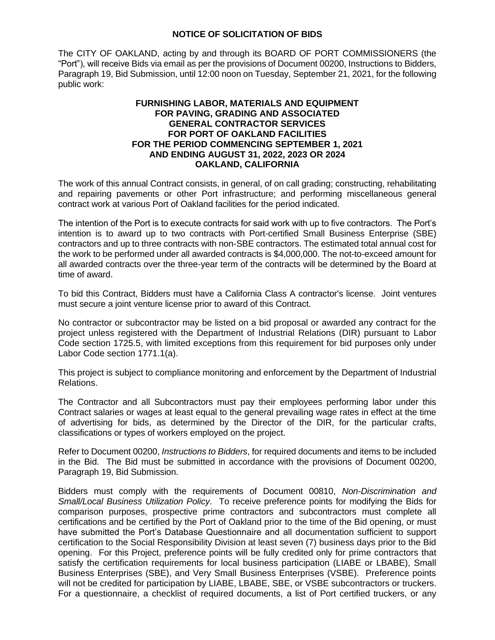## **NOTICE OF SOLICITATION OF BIDS**

The CITY OF OAKLAND, acting by and through its BOARD OF PORT COMMISSIONERS (the "Port"), will receive Bids via email as per the provisions of Document 00200, Instructions to Bidders, Paragraph 19, Bid Submission, until 12:00 noon on Tuesday, September 21, 2021, for the following public work:

## **FURNISHING LABOR, MATERIALS AND EQUIPMENT FOR PAVING, GRADING AND ASSOCIATED GENERAL CONTRACTOR SERVICES FOR PORT OF OAKLAND FACILITIES FOR THE PERIOD COMMENCING SEPTEMBER 1, 2021 AND ENDING AUGUST 31, 2022, 2023 OR 2024 OAKLAND, CALIFORNIA**

The work of this annual Contract consists, in general, of on call grading; constructing, rehabilitating and repairing pavements or other Port infrastructure; and performing miscellaneous general contract work at various Port of Oakland facilities for the period indicated.

The intention of the Port is to execute contracts for said work with up to five contractors. The Port's intention is to award up to two contracts with Port-certified Small Business Enterprise (SBE) contractors and up to three contracts with non-SBE contractors. The estimated total annual cost for the work to be performed under all awarded contracts is \$4,000,000. The not-to-exceed amount for all awarded contracts over the three-year term of the contracts will be determined by the Board at time of award.

To bid this Contract, Bidders must have a California Class A contractor's license. Joint ventures must secure a joint venture license prior to award of this Contract.

No contractor or subcontractor may be listed on a bid proposal or awarded any contract for the project unless registered with the Department of Industrial Relations (DIR) pursuant to Labor Code section 1725.5, with limited exceptions from this requirement for bid purposes only under Labor Code section 1771.1(a).

This project is subject to compliance monitoring and enforcement by the Department of Industrial Relations.

The Contractor and all Subcontractors must pay their employees performing labor under this Contract salaries or wages at least equal to the general prevailing wage rates in effect at the time of advertising for bids, as determined by the Director of the DIR, for the particular crafts, classifications or types of workers employed on the project.

Refer to Document 00200, *Instructions to Bidders*, for required documents and items to be included in the Bid. The Bid must be submitted in accordance with the provisions of Document 00200, Paragraph 19, Bid Submission.

Bidders must comply with the requirements of Document 00810, *Non-Discrimination and Small/Local Business Utilization Policy*. To receive preference points for modifying the Bids for comparison purposes, prospective prime contractors and subcontractors must complete all certifications and be certified by the Port of Oakland prior to the time of the Bid opening, or must have submitted the Port's Database Questionnaire and all documentation sufficient to support certification to the Social Responsibility Division at least seven (7) business days prior to the Bid opening. For this Project, preference points will be fully credited only for prime contractors that satisfy the certification requirements for local business participation (LIABE or LBABE), Small Business Enterprises (SBE), and Very Small Business Enterprises (VSBE). Preference points will not be credited for participation by LIABE, LBABE, SBE, or VSBE subcontractors or truckers. For a questionnaire, a checklist of required documents, a list of Port certified truckers, or any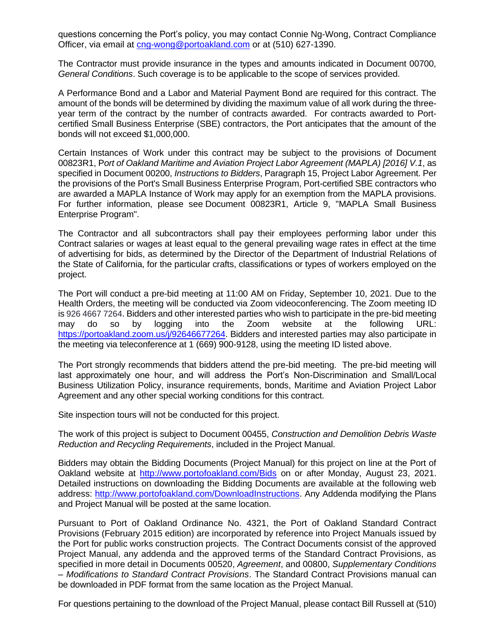questions concerning the Port's policy, you may contact Connie Ng-Wong, Contract Compliance Officer, via email at [cng-wong@portoakland.com](mailto:cng-wong@portoakland.com) or at (510) 627-1390.

The Contractor must provide insurance in the types and amounts indicated in Document 00700, *General Conditions*. Such coverage is to be applicable to the scope of services provided.

A Performance Bond and a Labor and Material Payment Bond are required for this contract. The amount of the bonds will be determined by dividing the maximum value of all work during the threeyear term of the contract by the number of contracts awarded. For contracts awarded to Portcertified Small Business Enterprise (SBE) contractors, the Port anticipates that the amount of the bonds will not exceed \$1,000,000.

Certain Instances of Work under this contract may be subject to the provisions of Document 00823R1, P*ort of Oakland Maritime and Aviation Project Labor Agreement (MAPLA) [2016] V.1*, as specified in Document 00200, *Instructions to Bidders*, Paragraph 15, Project Labor Agreement. Per the provisions of the Port's Small Business Enterprise Program, Port-certified SBE contractors who are awarded a MAPLA Instance of Work may apply for an exemption from the MAPLA provisions. For further information, please see Document 00823R1, Article 9, "MAPLA Small Business Enterprise Program".

The Contractor and all subcontractors shall pay their employees performing labor under this Contract salaries or wages at least equal to the general prevailing wage rates in effect at the time of advertising for bids, as determined by the Director of the Department of Industrial Relations of the State of California, for the particular crafts, classifications or types of workers employed on the project.

The Port will conduct a pre-bid meeting at 11:00 AM on Friday, September 10, 2021. Due to the Health Orders, the meeting will be conducted via Zoom videoconferencing. The Zoom meeting ID is 926 4667 7264. Bidders and other interested parties who wish to participate in the pre-bid meeting may do so by logging into the Zoom website at the following URL: [https://portoakland.zoom.us/j/92646677264.](https://portoakland.zoom.us/j/92646677264) Bidders and interested parties may also participate in the meeting via teleconference at 1 (669) 900-9128, using the meeting ID listed above.

The Port strongly recommends that bidders attend the pre-bid meeting. The pre-bid meeting will last approximately one hour, and will address the Port's Non-Discrimination and Small/Local Business Utilization Policy, insurance requirements, bonds, Maritime and Aviation Project Labor Agreement and any other special working conditions for this contract.

Site inspection tours will not be conducted for this project.

The work of this project is subject to Document 00455, *Construction and Demolition Debris Waste Reduction and Recycling Requirements*, included in the Project Manual.

Bidders may obtain the Bidding Documents (Project Manual) for this project on line at the Port of Oakland website at <http://www.portofoakland.com/Bids> on or after Monday, August 23, 2021. Detailed instructions on downloading the Bidding Documents are available at the following web address: [http://www.portofoakland.com/DownloadInstructions.](http://www.portofoakland.com/DownloadInstructions) Any Addenda modifying the Plans and Project Manual will be posted at the same location.

Pursuant to Port of Oakland Ordinance No. 4321, the Port of Oakland Standard Contract Provisions (February 2015 edition) are incorporated by reference into Project Manuals issued by the Port for public works construction projects. The Contract Documents consist of the approved Project Manual, any addenda and the approved terms of the Standard Contract Provisions, as specified in more detail in Documents 00520, *Agreement*, and 00800, *Supplementary Conditions – Modifications to Standard Contract Provisions*. The Standard Contract Provisions manual can be downloaded in PDF format from the same location as the Project Manual.

For questions pertaining to the download of the Project Manual, please contact Bill Russell at (510)